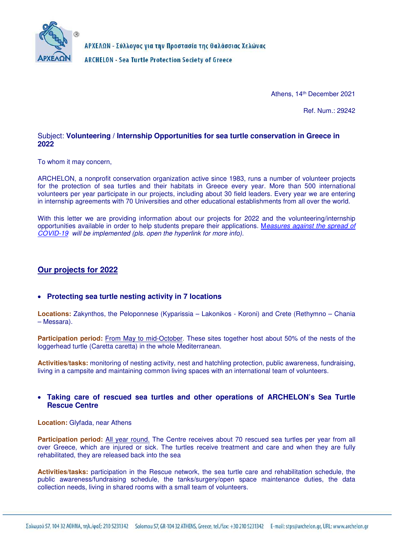

ΑΡΧΕΛΩΝ - Σύλλογος για την Προστασία της Θαλάσσιας Χελώνας **ARCHELON - Sea Turtle Protection Society of Greece** 

Athens, 14th December 2021

Ref. Num.: 29242

### Subject: **Volunteering / Internship Opportunities for sea turtle conservation in Greece in 2022**

To whom it may concern,

ARCHELON, a nonprofit conservation organization active since 1983, runs a number of volunteer projects for the protection of sea turtles and their habitats in Greece every year. More than 500 international volunteers per year participate in our projects, including about 30 field leaders. Every year we are entering in internship agreements with 70 Universities and other educational establishments from all over the world.

With this letter we are providing information about our projects for 2022 and the volunteering/internship opportunities available in order to help students prepare their applications. Measures against the spread of COVID-19 will be implemented (pls. open the hyperlink for more info).

## **Our projects for 2022**

## **Protecting sea turtle nesting activity in 7 locations**

**Locations:** Zakynthos, the Peloponnese (Kyparissia – Lakonikos - Koroni) and Crete (Rethymno – Chania – Messara).

**Participation period:** From May to mid-October. These sites together host about 50% of the nests of the loggerhead turtle (Caretta caretta) in the whole Mediterranean.

**Activities/tasks:** monitoring of nesting activity, nest and hatchling protection, public awareness, fundraising, living in a campsite and maintaining common living spaces with an international team of volunteers.

### **Taking care of rescued sea turtles and other operations of ARCHELON's Sea Turtle Rescue Centre**

#### **Location:** Glyfada, near Athens

**Participation period:** All year round. The Centre receives about 70 rescued sea turtles per year from all over Greece, which are injured or sick. The turtles receive treatment and care and when they are fully rehabilitated, they are released back into the sea

**Activities/tasks:** participation in the Rescue network, the sea turtle care and rehabilitation schedule, the public awareness/fundraising schedule, the tanks/surgery/open space maintenance duties, the data collection needs, living in shared rooms with a small team of volunteers.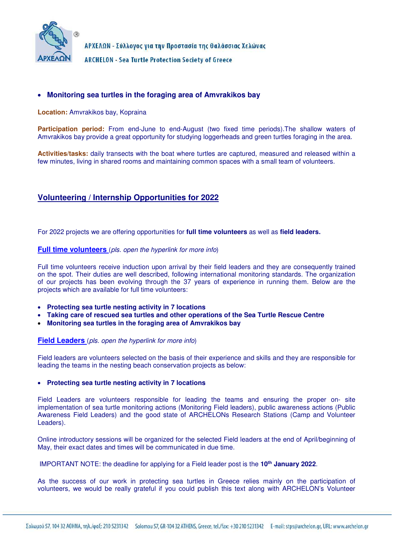

ΑΡΧΕΛΩΝ - Σύλλογος για την Προστασία της Θαλάσσιας Χελώνας

**ARCHELON - Sea Turtle Protection Society of Greece** 

### **Monitoring sea turtles in the foraging area of Amvrakikos bay**

**Location:** Amvrakikos bay, Kopraina

**Participation period:** From end-June to end-August (two fixed time periods).The shallow waters of Amvrakikos bay provide a great opportunity for studying loggerheads and green turtles foraging in the area.

**Activities/tasks:** daily transects with the boat where turtles are captured, measured and released within a few minutes, living in shared rooms and maintaining common spaces with a small team of volunteers.

# **Volunteering / Internship Opportunities for 2022**

For 2022 projects we are offering opportunities for **full time volunteers** as well as **field leaders.** 

#### **Full time volunteers** (pls. open the hyperlink for more info)

Full time volunteers receive induction upon arrival by their field leaders and they are consequently trained on the spot. Their duties are well described, following international monitoring standards. The organization of our projects has been evolving through the 37 years of experience in running them. Below are the projects which are available for full time volunteers:

- **Protecting sea turtle nesting activity in 7 locations**
- **Taking care of rescued sea turtles and other operations of the Sea Turtle Rescue Centre**
- **Monitoring sea turtles in the foraging area of Amvrakikos bay**

#### **Field Leaders** (pls. open the hyperlink for more info)

Field leaders are volunteers selected on the basis of their experience and skills and they are responsible for leading the teams in the nesting beach conservation projects as below:

#### **Protecting sea turtle nesting activity in 7 locations**

Field Leaders are volunteers responsible for leading the teams and ensuring the proper on- site implementation of sea turtle monitoring actions (Monitoring Field leaders), public awareness actions (Public Awareness Field Leaders) and the good state of ARCHELONs Research Stations (Camp and Volunteer Leaders).

Online introductory sessions will be organized for the selected Field leaders at the end of April/beginning of May, their exact dates and times will be communicated in due time.

IMPORTANT NOTE: the deadline for applying for a Field leader post is the **10th January 2022**.

As the success of our work in protecting sea turtles in Greece relies mainly on the participation of volunteers, we would be really grateful if you could publish this text along with ARCHELON's Volunteer